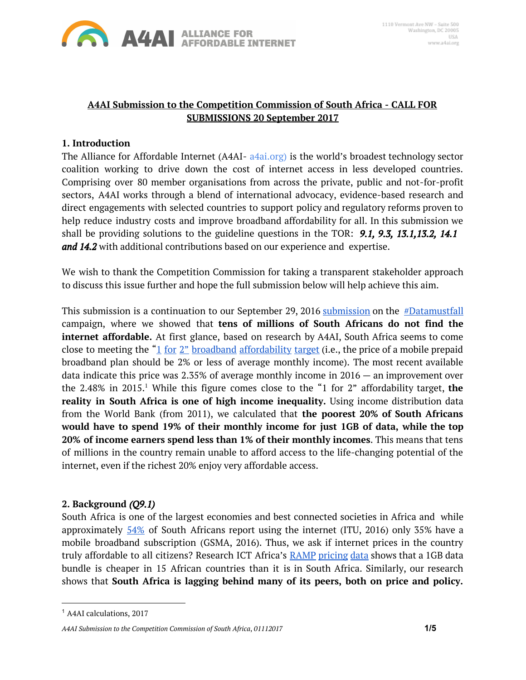

# **A4AI Submission to the Competition Commission of South Africa - CALL FOR SUBMISSIONS 20 September 2017**

### **1. Introduction**

The Alliance for Affordable Internet (A4AI- [a4ai.org](http://a4ai.org/)) is the world's broadest technology sector coalition working to drive down the cost of internet access in less developed countries. Comprising over 80 member organisations from across the private, public and not-for-profit sectors, A4AI works through a blend of international advocacy, evidence-based research and direct engagements with selected countries to support policy and regulatory reforms proven to help reduce industry costs and improve broadband affordability for all. In this submission we shall be providing solutions to the guideline questions in the TOR: *9.1, 9.3, 13.1,13.2, 14.1 and 14.2* with additional contributions based on our experience and expertise.

We wish to thank the Competition Commission for taking a transparent stakeholder approach to discuss this issue further and hope the full submission below will help achieve this aim.

This [submission](https://www.parliament.gov.za/storage/app/media/Docs/atc/616390_1.pdf) is a continuation to our September 29, 2016 submission on the [#Datamustfall](https://docs.google.com/document/d/11yRhwsYnxjeEgydjm416y586ZjMJhxHbbVp66eF0DUE/edit) campaign, where we showed that **tens of millions of South Africans do not find the internet affordable.** At first glance, based on research by A4AI, South Africa seems to come close to meeting the " $1$  for  $2$ " broadband [affordability](http://a4ai.org/1for2-affordability-target/) target (i.e., the price of a mobile prepaid broadband plan should be 2% or less of average monthly income). The most recent available data indicate this price was 2.35% of average monthly income in 2016 — an improvement over the 2.48% in 2015.<sup>1</sup> While this figure comes close to the "1 for 2" affordability target, **the reality in South Africa is one of high income inequality.** Using income distribution data from the World Bank (from 2011), we calculated that **the poorest 20% of South Africans would have to spend 19% of their monthly income for just 1GB of data, while the top 20% of income earners spend less than 1% of their monthly incomes**. This means that tens of millions in the country remain unable to afford access to the life-changing potential of the internet, even if the richest 20% enjoy very affordable access.

#### **2. Background** *(Q9.1)*

South Africa is one of the largest economies and best connected societies in Africa and while approximately  $54\%$  of South Africans report using the internet (ITU, 2016) only 35% have a mobile broadband subscription (GSMA, 2016). Thus, we ask if internet prices in the country truly affordable to all citizens? Research ICT Africa's RAMP [pricing](http://www.researchictafrica.net/pricing/ramp.php) data shows that a 1GB data bundle is cheaper in 15 African countries than it is in South Africa. Similarly, our research shows that **South Africa is lagging behind many of its peers, both on price and policy.**

<sup>1</sup> A4AI calculations, 2017

*A4AI Submission to the Competition Commission of South Africa*, *01112017* **1/5**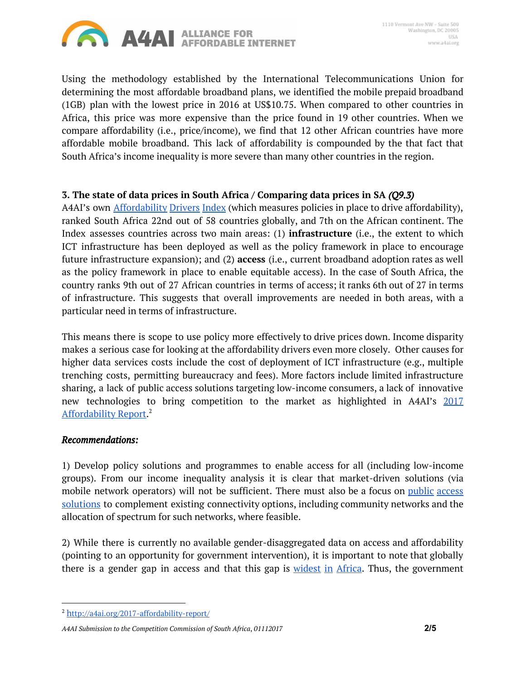

Using the methodology established by the International Telecommunications Union for determining the most affordable broadband plans, we identified the mobile prepaid broadband (1GB) plan with the lowest price in 2016 at US\$10.75. When compared to other countries in Africa, this price was more expensive than the price found in 19 other countries. When we compare affordability (i.e., price/income), we find that 12 other African countries have more affordable mobile broadband. This lack of affordability is compounded by the that fact that South Africa's income inequality is more severe than many other countries in the region.

# **3. The state of data prices in South Africa / Comparing data prices in SA** *(Q9.3)*

A4AI's own **[Affordability](http://a4ai.org/affordability-report/report/2017/) Drivers Index** (which measures policies in place to drive affordability), ranked South Africa 22nd out of 58 countries globally, and 7th on the African continent. The Index assesses countries across two main areas: (1) **infrastructure** (i.e., the extent to which ICT infrastructure has been deployed as well as the policy framework in place to encourage future infrastructure expansion); and (2) **access** (i.e., current broadband adoption rates as well as the policy framework in place to enable equitable access). In the case of South Africa, the country ranks 9th out of 27 African countries in terms of access; it ranks 6th out of 27 in terms of infrastructure. This suggests that overall improvements are needed in both areas, with a particular need in terms of infrastructure.

This means there is scope to use policy more effectively to drive prices down. Income disparity makes a serious case for looking at the affordability drivers even more closely. Other causes for higher data services costs include the cost of deployment of ICT infrastructure (e.g., multiple trenching costs, permitting bureaucracy and fees). More factors include limited infrastructure sharing, a lack of public access solutions targeting low-income consumers, a lack of innovative new technologies to bring competition to the market as highlighted in A4AI's [2017](http://a4ai.org/2017-affordability-report/) [Affordability](http://a4ai.org/2017-affordability-report/) Report.<sup>2</sup>

#### *Recommendations:*

1) Develop policy solutions and programmes to enable access for all (including low-income groups). From our income inequality analysis it is clear that market-driven solutions (via mobile network operators) will not be sufficient. There must also be a focus on *public* [access](http://a4ai.org/affordability-report/report/2017/#employing_public_access_solutions_to_close_the_digital_divide) [solutions](http://a4ai.org/affordability-report/report/2017/#employing_public_access_solutions_to_close_the_digital_divide) to complement existing connectivity options, including community networks and the allocation of spectrum for such networks, where feasible.

2) While there is currently no available gender-disaggregated data on access and affordability (pointing to an opportunity for government intervention), it is important to note that globally there is a gender gap in access and that this gap is [widest](http://www.itu.int/en/ITU-D/Statistics/Documents/facts/ICTFactsFigures2017.pdf) in Africa. Thus, the government

<sup>2</sup> [h](http://a4ai.org/2017-affordability-report/)[ttp://a4ai.org/2017-affordability-report/](http://a4ai.org/2017-affordability-report/)

*A4AI Submission to the Competition Commission of South Africa*, *01112017* **2/5**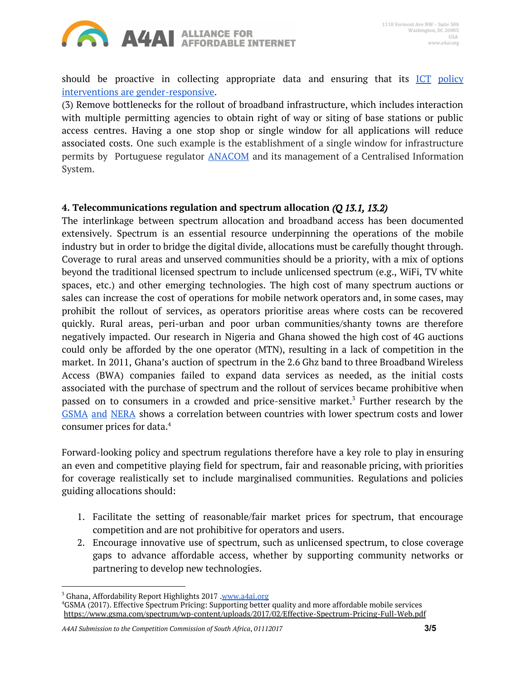

should be proactive in collecting appropriate data and ensuring that its  $\overline{ICT}$  [policy](https://webfoundation.org/2017/09/why-a-gender-focus-is-critical-to-connectivity/) interventions are [gender-responsive.](https://webfoundation.org/2017/09/why-a-gender-focus-is-critical-to-connectivity/)

(3) Remove bottlenecks for the rollout of broadband infrastructure, which includes interaction with multiple permitting agencies to obtain right of way or siting of base stations or public access centres. Having a one stop shop or single window for all applications will reduce associated costs. One such example is the establishment of a single window for infrastructure permits by Portuguese regulator [ANACOM](https://www.anacom.pt/) and its management of a Centralised Information System.

# **4. Telecommunications regulation and spectrum allocation** *(Q 13.1, 13.2)*

The interlinkage between spectrum allocation and broadband access has been documented extensively. Spectrum is an essential resource underpinning the operations of the mobile industry but in order to bridge the digital divide, allocations must be carefully thought through. Coverage to rural areas and unserved communities should be a priority, with a mix of options beyond the traditional licensed spectrum to include unlicensed spectrum (e.g., WiFi, TV white spaces, etc.) and other emerging technologies. The high cost of many spectrum auctions or sales can increase the cost of operations for mobile network operators and, in some cases, may prohibit the rollout of services, as operators prioritise areas where costs can be recovered quickly. Rural areas, peri-urban and poor urban communities/shanty towns are therefore negatively impacted. Our research in Nigeria and Ghana showed the high cost of 4G auctions could only be afforded by the one operator (MTN), resulting in a lack of competition in the market. In 2011, Ghana's auction of spectrum in the 2.6 Ghz band to three Broadband Wireless Access (BWA) companies failed to expand data services as needed, as the initial costs associated with the purchase of spectrum and the rollout of services became prohibitive when passed on to consumers in a crowded and price-sensitive market.<sup>3</sup> Further research by the [GSMA](https://www.gsma.com/spectrum/wp-content/uploads/2017/02/Effective-Spectrum-Pricing-Full-Web.pdf) and NERA shows a correlation between countries with lower spectrum costs and lower consumer prices for data. 4

Forward-looking policy and spectrum regulations therefore have a key role to play in ensuring an even and competitive playing field for spectrum, fair and reasonable pricing, with priorities for coverage realistically set to include marginalised communities. Regulations and policies guiding allocations should:

- 1. Facilitate the setting of reasonable/fair market prices for spectrum, that encourage competition and are not prohibitive for operators and users.
- 2. Encourage innovative use of spectrum, such as unlicensed spectrum, to close coverage gaps to advance affordable access, whether by supporting community networks or partnering to develop new technologies.

<sup>&</sup>lt;sup>3</sup> Ghana, Affordability Report Highlights 2017 .[www.a4ai.org](http://www.a4ai.org/)

<sup>4</sup>GSMA (2017). Effective Spectrum Pricing: Supporting better quality and more affordable mobile services <https://www.gsma.com/spectrum/wp-content/uploads/2017/02/Effective-Spectrum-Pricing-Full-Web.pdf>

*A4AI Submission to the Competition Commission of South Africa*, *01112017* **3/5**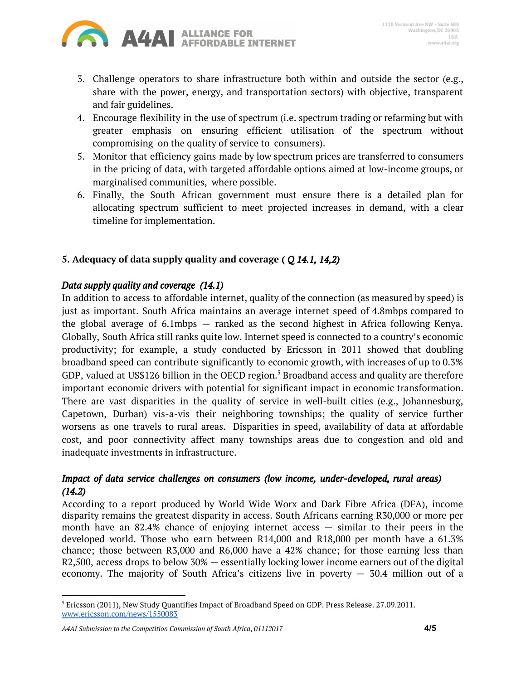

- 3. Challenge operators to share infrastructure both within and outside the sector (e.g., share with the power, energy, and transportation sectors) with objective, transparent and fair guidelines.
- 4. Encourage flexibility in the use of spectrum (i.e. spectrum trading or refarming but with greater emphasis on ensuring efficient utilisation of the spectrum without compromising on the quality of service to consumers).
- 5. Monitor that efficiency gains made by low spectrum prices are transferred to consumers in the pricing of data, with targeted affordable options aimed at low-income groups, or marginalised communities, where possible.
- 6. Finally, the South African government must ensure there is a detailed plan for allocating spectrum sufficient to meet projected increases in demand, with a clear timeline for implementation.

# **5. Adequacy of data supply quality and coverage (** *Q 14.1, 14,2)*

#### *Data supply quality and coverage (14.1)*

In addition to access to affordable internet, quality of the connection (as measured by speed) is just as important. South Africa maintains an average internet speed of 4.8mbps compared to the global average of 6.1mbps — ranked as the second highest in Africa following Kenya. Globally, South Africa still ranks quite low. Internet speed is connected to a country's economic productivity; for example, a study conducted by Ericsson in 2011 showed that doubling broadband speed can contribute significantly to economic growth, with increases of up to 0.3% GDP, valued at US\$126 billion in the OECD region.<sup>5</sup> Broadband access and quality are therefore important economic drivers with potential for significant impact in economic transformation. There are vast disparities in the quality of service in well-built cities (e.g., Johannesburg, Capetown, Durban) vis-a-vis their neighboring townships; the quality of service further worsens as one travels to rural areas. Disparities in speed, availability of data at affordable cost, and poor connectivity affect many townships areas due to congestion and old and inadequate investments in infrastructure.

# *Impact of data service challenges on consumers (low income, under-developed, rural areas) (14.2)*

According to a report produced by World Wide Worx and Dark Fibre Africa (DFA), income disparity remains the greatest disparity in access. South Africans earning R30,000 or more per month have an 82.4% chance of enjoying internet access  $-$  similar to their peers in the developed world. Those who earn between R14,000 and R18,000 per month have a 61.3% chance; those between R3,000 and R6,000 have a 42% chance; for those earning less than R2,500, access drops to below 30% — essentially locking lower income earners out of the digital economy. The majority of South Africa's citizens live in poverty  $-$  30.4 million out of a

<sup>5</sup> Ericsson (2011), New Study Quantifies Impact of Broadband Speed on GDP. Press Release. 27.09.2011. [www.ericsson.com/news/1550083](http://www.ericsson.com/news/1550083)

*A4AI Submission to the Competition Commission of South Africa*, *01112017* **4/5**